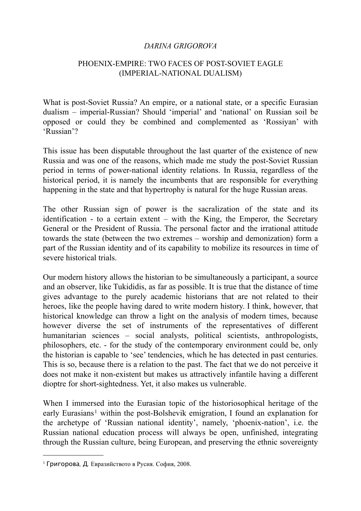#### *DARINA GRIGOROVA*

### PHOENIX-EMPIRE: TWO FACES OF POST-SOVIET EAGLE (IMPERIAL-NATIONAL DUALISM)

What is post-Soviet Russia? An empire, or a national state, or a specific Eurasian dualism – imperial-Russian? Should 'imperial' and 'national' on Russian soil be opposed or could they be combined and complemented as 'Rossiyan' with 'Russian'?

This issue has been disputable throughout the last quarter of the existence of new Russia and was one of the reasons, which made me study the post-Soviet Russian period in terms of power-national identity relations. In Russia, regardless of the historical period, it is namely the incumbents that are responsible for everything happening in the state and that hypertrophy is natural for the huge Russian areas.

The other Russian sign of power is the sacralization of the state and its identification - to a certain extent – with the King, the Emperor, the Secretary General or the President of Russia. The personal factor and the irrational attitude towards the state (between the two extremes – worship and demonization) form a part of the Russian identity and of its capability to mobilize its resources in time of severe historical trials.

Our modern history allows the historian to be simultaneously a participant, a source and an observer, like Tukididis, as far as possible. It is true that the distance of time gives advantage to the purely academic historians that are not related to their heroes, like the people having dared to write modern history. I think, however, that historical knowledge can throw a light on the analysis of modern times, because however diverse the set of instruments of the representatives of different humanitarian sciences – social analysts, political scientists, anthropologists, philosophers, etc. - for the study of the contemporary environment could be, only the historian is capable to 'see' tendencies, which he has detected in past centuries. This is so, because there is a relation to the past. The fact that we do not perceive it does not make it non-existent but makes us attractively infantile having a different dioptre for short-sightedness. Yet, it also makes us vulnerable.

When I immersed into the Eurasian topic of the historiosophical heritage of the early Eurasians<sup>1</sup> within the post-Bolshevik emigration, I found an explanation for the archetype of 'Russian national identity', namely, 'phoenix-nation', i.e. the Russian national education process will always be open, unfinished, integrating through the Russian culture, being European, and preserving the ethnic sovereignty

<span id="page-0-0"></span><sup>1</sup> Григорова*,* Д*.* Евразийството в Русия. София, 2008.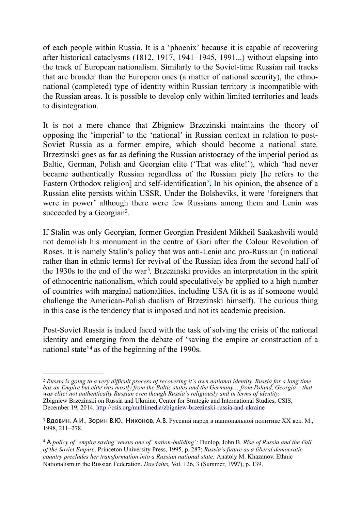of each people within Russia. It is a 'phoenix' because it is capable of recovering after historical cataclysms (1812, 1917, 1941–1945, 1991...) without elapsing into the track of European nationalism. Similarly to the Soviet-time Russian rail tracks that are broader than the European ones (a matter of national security), the ethnonational (completed) type of identity within Russian territory is incompatible with the Russian areas. It is possible to develop only within limited territories and leads to disintegration.

It is not a mere chance that Zbigniew Brzezinski maintains the theory of opposing the 'imperial' to the 'national' in Russian context in relation to post-Soviet Russia as a former empire, which should become a national state. Brzezinski goes as far as defining the Russian aristocracy of the imperial period as Baltic, German, Polish and Georgian elite ('That was elite!'), which 'had never became authentically Russian regardless of the Russian piety [he refers to the Eastern Orthodox religion] and self-identification'. In his opinion, the absence of a Russian elite persists within USSR. Under the Bolsheviks, it were 'foreigners that were in power' although there were few Russians among them and Lenin was succeeded by a Georgian<sup>[2](#page-1-0)</sup>.

If Stalin was only Georgian, former Georgian President Mikheil Saakashvili would not demolish his monument in the centre of Gori after the Colour Revolution of Roses. It is namely Stalin's policy that was anti-Lenin and pro-Russian (in national rather than in ethnic terms) for revival of the Russian idea from the second half of the 19[3](#page-1-1)0s to the end of the war<sup>3</sup>. Brzezinski provides an interpretation in the spirit of ethnocentric nationalism, which could speculatively be applied to a high number of countries with marginal nationalities, including USA (it is as if someone would challenge the American-Polish dualism of Brzezinski himself). The curious thing in this case is the tendency that is imposed and not its academic precision.

Post-Soviet Russia is indeed faced with the task of solving the crisis of the national identity and emerging from the debate of 'saving the empire or construction of a national state<sup>'[4](#page-1-2)</sup> as of the beginning of the 1990s.

<span id="page-1-0"></span><sup>2</sup> *Russia is going to a very difficult process of recovering it's own national identity. Russia for a long time has an Empire but elite was mostly from the Baltic states and the Germany… from Poland, Georgia – that was elite! not authentically Russian even though Russia's religiously and in terms of identity.*  Zbigniew Brzezinski on Russia and Ukraine, Center for Strategic and International Studies, CSIS, December 19, 2014. <http://csis.org/multimedia/zbigniew-brzezinski-russia-and-ukraine>

<span id="page-1-1"></span><sup>3</sup> Вдовин*,* А*.*И*.,* Зорин В*.*Ю*.,* Никонов*,* А*.*В*.* Русский народ в национальной политике ХХ век. М., 1998, 211–278.

<span id="page-1-2"></span><sup>4</sup> А *policy of 'empire saving' versus one of 'nation-building':* Dunlop, John B. *Rise of Russia and the Fall of the Soviet Empire*. Princeton University Press, 1995, p. 287; *Russia's future as a liberal democratic country precludes her transformation into a Russian national state:* Anatoly M. Khazanov. Ethnic Nationalism in the Russian Federation. *Daedalus,* Vol. 126, 3 (Summer, 1997), p. 139.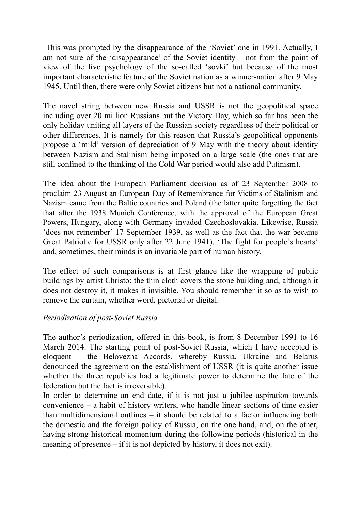This was prompted by the disappearance of the 'Soviet' one in 1991. Actually, I am not sure of the 'disappearance' of the Soviet identity – not from the point of view of the live psychology of the so-called 'sovki' but because of the most important characteristic feature of the Soviet nation as a winner-nation after 9 May 1945. Until then, there were only Soviet citizens but not a national community.

The navel string between new Russia and USSR is not the geopolitical space including over 20 million Russians but the Victory Day, which so far has been the only holiday uniting all layers of the Russian society regardless of their political or other differences. It is namely for this reason that Russia's geopolitical opponents propose a 'mild' version of depreciation of 9 May with the theory about identity between Nazism and Stalinism being imposed on a large scale (the ones that are still confined to the thinking of the Cold War period would also add Putinism).

The idea about the European Parliament decision as of 23 September 2008 to proclaim 23 August an European Day of Remembrance for Victims of Stalinism and Nazism came from the Baltic countries and Poland (the latter quite forgetting the fact that after the 1938 Munich Conference, with the approval of the European Great Powers, Hungary, along with Germany invaded Czechoslovakia. Likewise, Russia 'does not remember' 17 September 1939, as well as the fact that the war became Great Patriotic for USSR only after 22 June 1941). 'The fight for people's hearts' and, sometimes, their minds is an invariable part of human history.

The effect of such comparisons is at first glance like the wrapping of public buildings by artist Christo: the thin cloth covers the stone building and, although it does not destroy it, it makes it invisible. You should remember it so as to wish to remove the curtain, whether word, pictorial or digital.

# *Periodization of post-Soviet Russia*

The author's periodization, offered in this book, is from 8 December 1991 to 16 March 2014. The starting point of post-Soviet Russia, which I have accepted is eloquent – the Belovezha Accords, whereby Russia, Ukraine and Belarus denounced the agreement on the establishment of USSR (it is quite another issue whether the three republics had a legitimate power to determine the fate of the federation but the fact is irreversible).

In order to determine an end date, if it is not just a jubilee aspiration towards convenience – a habit of history writers, who handle linear sections of time easier than multidimensional outlines – it should be related to a factor influencing both the domestic and the foreign policy of Russia, on the one hand, and, on the other, having strong historical momentum during the following periods (historical in the meaning of presence – if it is not depicted by history, it does not exit).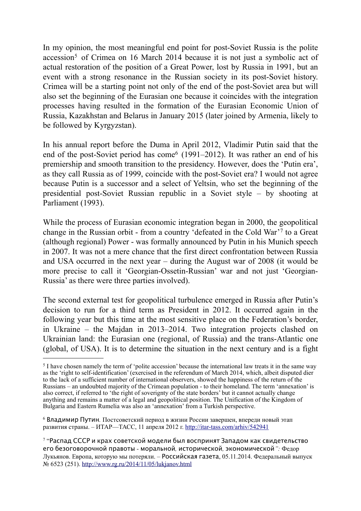In my opinion, the most meaningful end point for post-Soviet Russia is the polite accession<sup>[5](#page-3-0)</sup> of Crimea on 16 March 2014 because it is not just a symbolic act of actual restoration of the position of a Great Power, lost by Russia in 1991, but an event with a strong resonance in the Russian society in its post-Soviet history. Crimea will be a starting point not only of the end of the post-Soviet area but will also set the beginning of the Eurasian one because it coincides with the integration processes having resulted in the formation of the Eurasian Economic Union of Russia, Kazakhstan and Belarus in January 2015 (later joined by Armenia, likely to be followed by Kyrgyzstan).

In his annual report before the Duma in April 2012, Vladimir Putin said that the end of the post-Soviet period has come<sup> $6$ </sup> (1991–2012). It was rather an end of his premiership and smooth transition to the presidency. However, does the 'Putin era', as they call Russia as of 1999, coincide with the post-Soviet era? I would not agree because Putin is a successor and a select of Yeltsin, who set the beginning of the presidential post-Soviet Russian republic in a Soviet style – by shooting at Parliament (1993).

While the process of Eurasian economic integration began in 2000, the geopolitical change in the Russian orbit - from a country 'defeated in the Cold War'[7](#page-3-2) to a Great (although regional) Power - was formally announced by Putin in his Munich speech in 2007. It was not a mere chance that the first direct confrontation between Russia and USA occurred in the next year – during the August war of 2008 (it would be more precise to call it 'Georgian-Ossetin-Russian' war and not just 'Georgian-Russia' as there were three parties involved).

The second external test for geopolitical turbulence emerged in Russia after Putin's decision to run for a third term as President in 2012. It occurred again in the following year but this time at the most sensitive place on the Federation's border, in Ukraine – the Majdan in 2013–2014. Two integration projects clashed on Ukrainian land: the Eurasian one (regional, of Russia) and the trans-Atlantic one (global, of USA). It is to determine the situation in the next century and is a fight

<span id="page-3-0"></span><sup>5</sup> I have chosen namely the term of 'polite accession' because the international law treats it in the same way as the 'right to self-identification' (exercised in the referendum of March 2014, which, albeit disputed dier to the lack of a sufficient number of international observers, showed the happiness of the return of the Russians – an undoubted majority of the Crimean population - to their homeland. The term 'annexation' is also correct, if referred to 'the right of soverignty of the state borders' but it cannot actually change anything and remains a matter of a legal and geopolitical position. The Unification of the Kingdom of Bulgaria and Eastern Rumelia was also an 'annexation' from a Turkish perspective.

<span id="page-3-1"></span><sup>6</sup> Владимир Путин*.* Постсоветский период в жизни России завершен, впереди новый этап развития страны. – ИТАР—ТАСС, 11 апреля 2012 г.<http://itar-tass.com/arhiv/542941>

<span id="page-3-2"></span><sup>7 &</sup>quot;Распад СССР и крах советской модели был воспринят Западом как свидетельство его безоговорочной правоты *-* моральной*,* исторической*,* экономической*":* Федор Лукьянов. Европа, которую мы потеряли. – Российская газета, 05.11.2014. Федеральный выпуск № 6523 (251).<http://www.rg.ru/2014/11/05/lukjanov.html>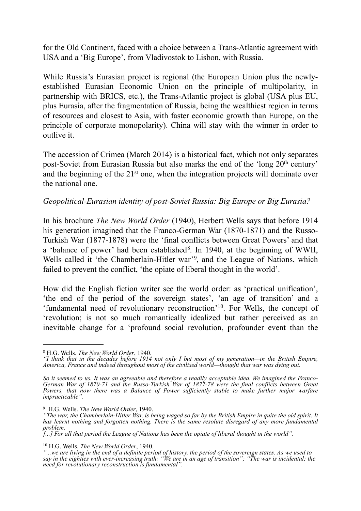for the Old Continent, faced with a choice between a Trans-Atlantic agreement with USA and a 'Big Europe', from Vladivostok to Lisbon, with Russia.

While Russia's Eurasian project is regional (the European Union plus the newlyestablished Eurasian Economic Union on the principle of multipolarity, in partnership with BRICS, etc.), the Trans-Atlantic project is global (USA plus EU, plus Eurasia, after the fragmentation of Russia, being the wealthiest region in terms of resources and closest to Asia, with faster economic growth than Europe, on the principle of corporate monopolarity). China will stay with the winner in order to outlive it.

The accession of Crimea (March 2014) is a historical fact, which not only separates post-Soviet from Eurasian Russia but also marks the end of the 'long 20th century' and the beginning of the 21st one, when the integration projects will dominate over the national one.

#### *Geopolitical-Eurasian identity of post-Soviet Russia: Big Europe or Big Eurasia?*

In his brochure *The New World Order* (1940), Herbert Wells says that before 1914 his generation imagined that the Franco-German War (1870-1871) and the Russo-Turkish War (1877-1878) were the 'final conflicts between Great Powers' and that a 'balance of power' had been established<sup>8</sup>. In 1940, at the beginning of WWII, Wells called it 'the Chamberlain-Hitler war'[9,](#page-4-1) and the League of Nations, which failed to prevent the conflict, 'the opiate of liberal thought in the world'.

How did the English fiction writer see the world order: as 'practical unification', 'the end of the period of the sovereign states', 'an age of transition' and a 'fundamental need of revolutionary reconstruction'[10.](#page-4-2) For Wells, the concept of 'revolution; is not so much romantically idealized but rather perceived as an inevitable change for a 'profound social revolution, profounder event than the

<span id="page-4-2"></span>10 H.G. Wells. *The New World Order*, 1940.

<span id="page-4-0"></span><sup>8</sup> H.G. Wells. *The New World Order*, 1940.

*<sup>&</sup>quot;I think that in the decades before 1914 not only I but most of my generation—in the British Empire, America, France and indeed throughout most of the civilised world—thought that war was dying out.*

*So it seemed to us. It was an agreeable and therefore a readily acceptable idea. We imagined the Franco-German War of 1870-71 and the Russo-Turkish War of 1877-78 were the final conflicts between Great Powers, that now there was a Balance of Power sufficiently stable to make further major warfare impracticable".*

<span id="page-4-1"></span><sup>9</sup> H.G. Wells. *The New World Order*, 1940.

*<sup>&</sup>quot;The war, the Chamberlain-Hitler War, is being waged so far by the British Empire in quite the old spirit. It has learnt nothing and forgotten nothing. There is the same resolute disregard of any more fundamental problem.*

*<sup>[...]</sup> For all that period the League of Nations has been the opiate of liberal thought in the world".*

*<sup>&</sup>quot;...we are living in the end of a definite period of history, the period of the sovereign states. As we used to say in the eighties with ever-increasing truth: "We are in an age of transition"; "The war is incidental; the need for revolutionary reconstruction is fundamental".*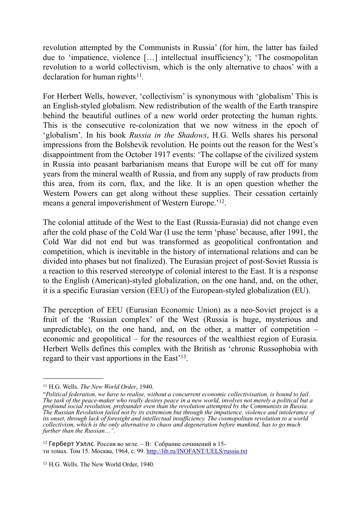revolution attempted by the Communists in Russia' (for him, the latter has failed due to 'impatience, violence […] intellectual insufficiency'); 'The cosmopolitan revolution to a world collectivism, which is the only alternative to chaos' with a declaration for human rights $11$ .

For Herbert Wells, however, 'collectivism' is synonymous with 'globalism' This is an English-styled globalism. New redistribution of the wealth of the Earth transpire behind the beautiful outlines of a new world order protecting the human rights. This is the consecutive re-colonization that we now witness in the epoch of 'globalism'. In his book *Russia in the Shadows*, H.G. Wells shares his personal impressions from the Bolshevik revolution. He points out the reason for the West's disappointment from the October 1917 events: 'The collapse of the civilized system in Russia into peasant barbarianism means that Europe will be cut off for many years from the mineral wealth of Russia, and from any supply of raw products from this area, from its corn, flax, and the like. It is an open question whether the Western Powers can get along without these supplies. Their cessation certainly means a general impoverishment of Western Europe.'[12.](#page-5-1)

The colonial attitude of the West to the East (Russia-Eurasia) did not change even after the cold phase of the Cold War (I use the term 'phase' because, after 1991, the Cold War did not end but was transformed as geopolitical confrontation and competition, which is inevitable in the history of international relations and can be divided into phases but not finalized). The Eurasian project of post-Soviet Russia is a reaction to this reserved stereotype of colonial interest to the East. It is a response to the English (American)-styled globalization, on the one hand, and, on the other, it is a specific Eurasian version (ЕEU) of the European-styled globalization (EU).

The perception of EEU (Eurasian Economic Union) as a neo-Soviet project is a fruit of the 'Russian complex' of the West (Russia is huge, mysterious and unpredictable), on the one hand, and, on the other, a matter of competition  $$ economic and geopolitical – for the resources of the wealthiest region of Eurasia. Herbert Wells defines this complex with the British as 'chronic Russophobia with regard to their vast apportions in the East'[13.](#page-5-2)

<span id="page-5-0"></span><sup>11</sup> H.G. Wells. *The New World Order*, 1940.

<sup>&</sup>quot;*Political federation, we have to realise, without a concurrent economic collectivisation, is bound to fail. The task of the peace-maker who really desires peace in a new world, involves not merely a political but a profound social revolution, profounder even than the revolution attempted by the Communists in Russia. The Russian Revolution failed not by its extremism but through the impatience, violence and intolerance of its onset, through lack of foresight and intellectual insufficiency. The cosmopolitan revolution to a world collectivism, which is the only alternative to chaos and degeneration before mankind, has to go much further than the Russian…".*

<span id="page-5-1"></span><sup>12</sup> Герберт Уэллс. Россия во мглe. – В: Собрание сочинений в 15 ти томах. Том 15. Москва, 1964, с. 99. <http://lib.ru/INOFANT/UELS/russia.txt>

<span id="page-5-2"></span><sup>13</sup> H.G. Wells. The New World Order, 1940.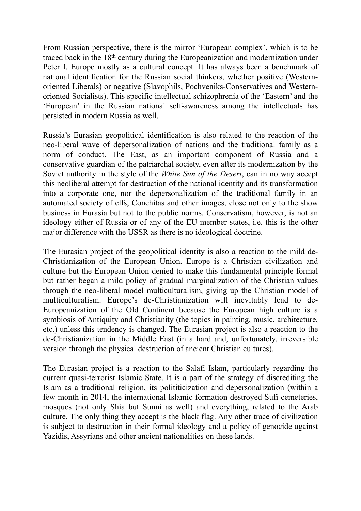From Russian perspective, there is the mirror 'European complex', which is to be traced back in the 18th century during the Europeanization and modernization under Peter I. Europe mostly as a cultural concept. It has always been a benchmark of national identification for the Russian social thinkers, whether positive (Westernoriented Liberals) or negative (Slavophils, Pochveniks-Conservatives and Westernoriented Socialists). This specific intellectual schizophrenia of the 'Eastern' and the 'European' in the Russian national self-awareness among the intellectuals has persisted in modern Russia as well.

Russia's Eurasian geopolitical identification is also related to the reaction of the neo-liberal wave of depersonalization of nations and the traditional family as a norm of conduct. The East, as an important component of Russia and a conservative guardian of the patriarchal society, even after its modernization by the Soviet authority in the style of the *White Sun of the Desert*, can in no way accept this neoliberal attempt for destruction of the national identity and its transformation into a corporate one, nor the depersonalization of the traditional family in an automated society of elfs, Conchitas and other images, close not only to the show business in Eurasia but not to the public norms. Conservatism, however, is not an ideology either of Russia or of any of the EU member states, i.e. this is the other major difference with the USSR as there is no ideological doctrine.

The Eurasian project of the geopolitical identity is also a reaction to the mild de-Christianization of the European Union. Europe is a Christian civilization and culture but the European Union denied to make this fundamental principle formal but rather began a mild policy of gradual marginalization of the Christian values through the neo-liberal model multiculturalism, giving up the Christian model of multiculturalism. Europe's de-Christianization will inevitably lead to de-Europeanization of the Old Continent because the European high culture is a symbiosis of Antiquity and Christianity (the topics in painting, music, architecture, etc.) unless this tendency is changed. The Eurasian project is also a reaction to the de-Christianization in the Middle East (in a hard and, unfortunately, irreversible version through the physical destruction of ancient Christian cultures).

The Eurasian project is a reaction to the Salafi Islam, particularly regarding the current quasi-terrorist Islamic State. It is a part of the strategy of discrediting the Islam as a traditional religion, its polititicization and depersonalization (within a few month in 2014, the international Islamic formation destroyed Sufi cemeteries, mosques (not only Shia but Sunni as well) and everything, related to the Arab culture. The only thing they accept is the black flag. Any other trace of civilization is subject to destruction in their formal ideology and a policy of genocide against Yazidis, Assyrians and other ancient nationalities on these lands.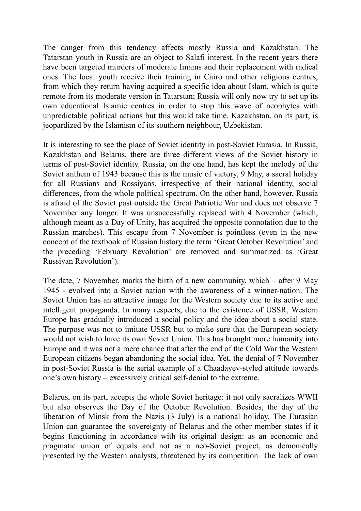The danger from this tendency affects mostly Russia and Kazakhstan. The Tatarstan youth in Russia are an object to Salafi interest. In the recent years there have been targeted murders of moderate Imams and their replacement with radical ones. The local youth receive their training in Cairo and other religious centres, from which they return having acquired a specific idea about Islam, which is quite remote from its moderate version in Tatarstan; Russia will only now try to set up its own educational Islamic centres in order to stop this wave of neophytes with unpredictable political actions but this would take time. Kazakhstan, on its part, is jeopardized by the Islamism of its southern neighbour, Uzbekistan.

It is interesting to see the place of Soviet identity in post-Soviet Eurasia. In Russia, Kazakhstan and Belarus, there are three different views of the Soviet history in terms of post-Soviet identity. Russia, on the one hand, has kept the melody of the Soviet anthem of 1943 because this is the music of victory, 9 May, a sacral holiday for all Russians and Rossiyans, irrespective of their national identity, social differences, from the whole political spectrum. On the other hand, however, Russia is afraid of the Soviet past outside the Great Patriotic War and does not observe 7 November any longer. It was unsuccessfully replaced with 4 November (which, although meant as a Day of Unity, has acquired the opposite connotation due to the Russian marches). This escape from 7 November is pointless (even in the new concept of the textbook of Russian history the term 'Great October Revolution' and the preceding 'February Revolution' are removed and summarized as 'Great Russiyan Revolution').

The date, 7 November, marks the birth of a new community, which – after 9 May 1945 - evolved into a Soviet nation with the awareness of a winner-nation. The Soviet Union has an attractive image for the Western society due to its active and intelligent propaganda. In many respects, due to the existence of USSR, Western Europe has gradually introduced a social policy and the idea about a social state. The purpose was not to imitate USSR but to make sure that the European society would not wish to have its own Soviet Union. This has brought more humanity into Europe and it was not a mere chance that after the end of the Cold War the Western European citizens began abandoning the social idea. Yet, the denial of 7 November in post-Soviet Russia is the serial example of a Chaadayev-styled attitude towards one's own history – excessively critical self-denial to the extreme.

Belarus, on its part, accepts the whole Soviet heritage: it not only sacralizes WWII but also observes the Day of the October Revolution. Besides, the day of the liberation of Minsk from the Nazis (3 July) is a national holiday. The Eurasian Union can guarantee the sovereignty of Belarus and the other member states if it begins functioning in accordance with its original design: as an economic and pragmatic union of equals and not as a neo-Soviet project, as demonically presented by the Western analysts, threatened by its competition. The lack of own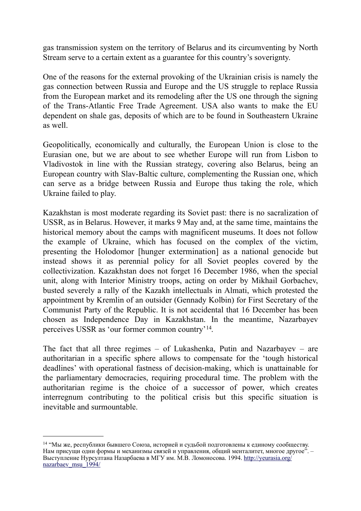gas transmission system on the territory of Belarus and its circumventing by North Stream serve to a certain extent as a guarantee for this country's soverignty.

One of the reasons for the external provoking of the Ukrainian crisis is namely the gas connection between Russia and Europe and the US struggle to replace Russia from the European market and its remodeling after the US one through the signing of the Trans-Atlantic Free Trade Agreement. USA also wants to make the EU dependent on shale gas, deposits of which are to be found in Southeastern Ukraine as well.

Geopolitically, economically and culturally, the European Union is close to the Eurasian one, but we are about to see whether Europe will run from Lisbon to Vladivostok in line with the Russian strategy, covering also Belarus, being an European country with Slav-Baltic culture, complementing the Russian one, which can serve as a bridge between Russia and Europe thus taking the role, which Ukraine failed to play.

Kazakhstan is most moderate regarding its Soviet past: there is no sacralization of USSR, as in Belarus. However, it marks 9 May and, at the same time, maintains the historical memory about the camps with magnificent museums. It does not follow the example of Ukraine, which has focused on the complex of the victim, presenting the Holodomor [hunger extermination] as a national genocide but instead shows it as perennial policy for all Soviet peoples covered by the collectivization. Kazakhstan does not forget 16 December 1986, when the special unit, along with Interior Ministry troops, acting on order by Mikhail Gorbachev, busted severely a rally of the Kazakh intellectuals in Almati, which protested the appointment by Kremlin of an outsider (Gennady Kolbin) for First Secretary of the Communist Party of the Republic. It is not accidental that 16 December has been chosen as Independence Day in Kazakhstan. In the meantime, Nazarbayev perceives USSR as 'our former common country'[14](#page-8-0).

The fact that all three regimes – of Lukashenka, Putin and Nazarbayev – are authoritarian in a specific sphere allows to compensate for the 'tough historical deadlines' with operational fastness of decision-making, which is unattainable for the parliamentary democracies, requiring procedural time. The problem with the authoritarian regime is the choice of a successor of power, which creates interregnum contributing to the political crisis but this specific situation is inevitable and surmountable.

<span id="page-8-0"></span><sup>14 &</sup>quot;Мы же, республики бывшего Союза, историей и судьбой подготовлены к единому сообществу. Нам присущи одни формы и механизмы связей и управления, общий менталитет, многое другое". – Выступление Нурсултана Назарбаева в МГУ им. М.В. Ломоносова. 1994. [http://yeurasia.org/](http://yeurasia.org/nazarbaev_msu_1994/) nazarbaev msu 1994/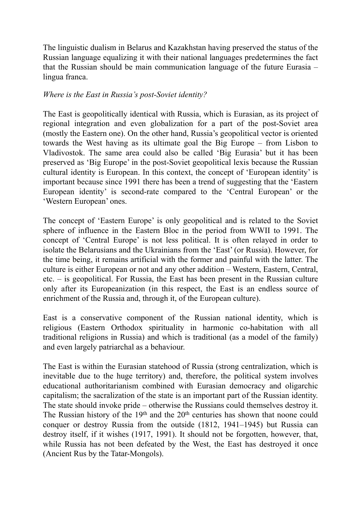The linguistic dualism in Belarus and Kazakhstan having preserved the status of the Russian language equalizing it with their national languages predetermines the fact that the Russian should be main communication language of the future Eurasia – lingua franca.

# *Where is the East in Russia's post-Soviet identity?*

The East is geopolitically identical with Russia, which is Eurasian, as its project of regional integration and even globalization for a part of the post-Soviet area (mostly the Eastern one). On the other hand, Russia's geopolitical vector is oriented towards the West having as its ultimate goal the Big Europe – from Lisbon to Vladivostok. The same area could also be called 'Big Eurasia' but it has been preserved as 'Big Europe' in the post-Soviet geopolitical lexis because the Russian cultural identity is European. In this context, the concept of 'European identity' is important because since 1991 there has been a trend of suggesting that the 'Eastern European identity' is second-rate compared to the 'Central European' or the 'Western European' ones.

The concept of 'Eastern Europe' is only geopolitical and is related to the Soviet sphere of influence in the Eastern Bloc in the period from WWII to 1991. The concept of 'Central Europe' is not less political. It is often relayed in order to isolate the Belarusians and the Ukrainians from the 'East' (or Russia). However, for the time being, it remains artificial with the former and painful with the latter. The culture is either European or not and any other addition – Western, Eastern, Central, etc. – is geopolitical. For Russia, the East has been present in the Russian culture only after its Europeanization (in this respect, the East is an endless source of enrichment of the Russia and, through it, of the European culture).

East is a conservative component of the Russian national identity, which is religious (Eastern Orthodox spirituality in harmonic co-habitation with all traditional religions in Russia) and which is traditional (as a model of the family) and even largely patriarchal as a behaviour.

The East is within the Eurasian statehood of Russia (strong centralization, which is inevitable due to the huge territory) and, therefore, the political system involves educational authoritarianism combined with Eurasian democracy and oligarchic capitalism; the sacralization of the state is an important part of the Russian identity. The state should invoke pride – otherwise the Russians could themselves destroy it. The Russian history of the 19<sup>th</sup> and the 20<sup>th</sup> centuries has shown that noone could conquer or destroy Russia from the outside (1812, 1941–1945) but Russia can destroy itself, if it wishes (1917, 1991). It should not be forgotten, however, that, while Russia has not been defeated by the West, the East has destroyed it once (Ancient Rus by the Tatar-Mongols).